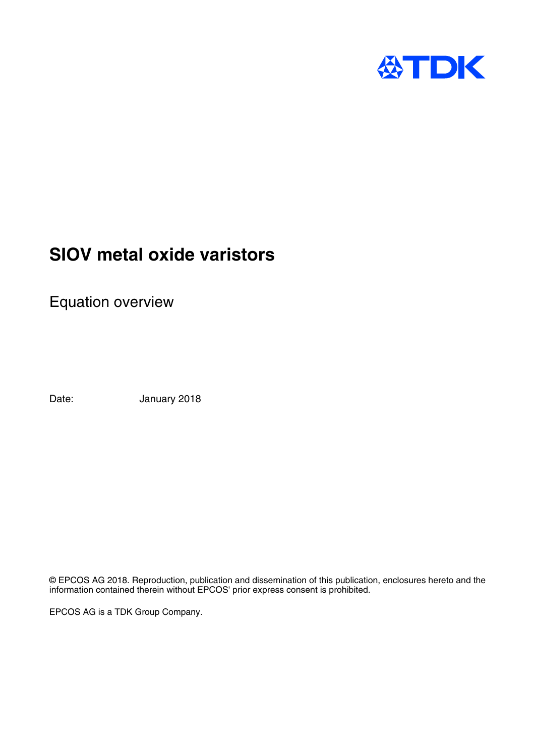

## **SIOV metal oxide varistors**

Equation overview

Date: January 2018

© EPCOS AG 2018. Reproduction, publication and dissemination of this publication, enclosures hereto and the information contained therein without EPCOS' prior express consent is prohibited.

EPCOS AG is a TDK Group Company.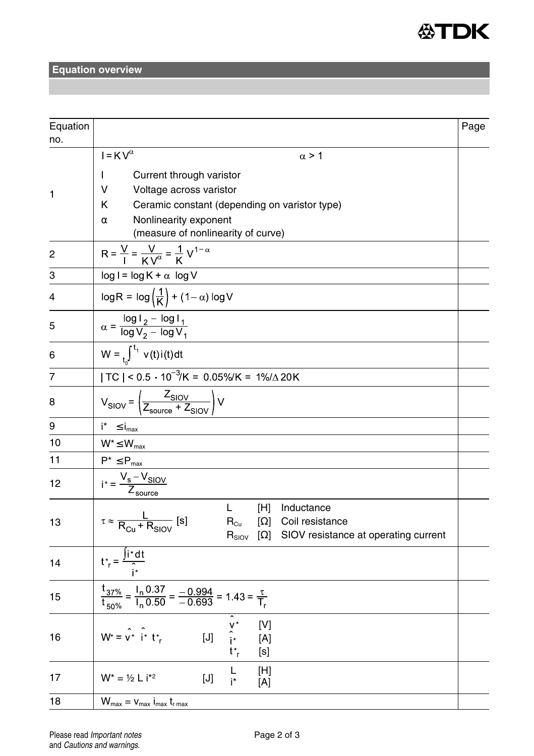

## **Equation overview**

| Equation<br>no. |                                                                                                                                                                                                              | Page |  |  |  |  |  |
|-----------------|--------------------------------------------------------------------------------------------------------------------------------------------------------------------------------------------------------------|------|--|--|--|--|--|
|                 | $I = KV^{\overline{\alpha}}$<br>$\alpha$ > 1                                                                                                                                                                 |      |  |  |  |  |  |
| 1               | Current through varistor<br>L<br>v<br>Voltage across varistor<br>ĸ<br>Ceramic constant (depending on varistor type)<br>Nonlinearity exponent<br>$\alpha$<br>(measure of nonlinearity of curve)               |      |  |  |  |  |  |
| 2               | $R = \frac{V}{I} = \frac{V}{KV^{\alpha}} = \frac{1}{K}V^{1-\alpha}$                                                                                                                                          |      |  |  |  |  |  |
| 3               | $log I = log K + \alpha log V$                                                                                                                                                                               |      |  |  |  |  |  |
| 4               | $\log R = \log \left(\frac{1}{K}\right) + (1-\alpha) \log V$                                                                                                                                                 |      |  |  |  |  |  |
| 5               | $\alpha = \frac{\log \mathsf{I}_2 - \log \mathsf{I}_1}{\log \mathsf{V}_2 - \log \mathsf{V}_1}$                                                                                                               |      |  |  |  |  |  |
| 6               | $W = \int_0^{t_1} v(t) i(t) dt$                                                                                                                                                                              |      |  |  |  |  |  |
| 7               | $ TC $ < 0.5 $\cdot$ 10 <sup>-3</sup> /K = 0.05%/K = 1%/ $\triangle$ 20K                                                                                                                                     |      |  |  |  |  |  |
| 8               | $V_{SIOV} = \left(\frac{Z_{SIOV}}{Z_{source} + Z_{SIOV}}\right) V$                                                                                                                                           |      |  |  |  |  |  |
| 9               | $i^* \leq i_{\text{max}}$                                                                                                                                                                                    |      |  |  |  |  |  |
| 10              | $W^* \leq W_{\text{max}}$                                                                                                                                                                                    |      |  |  |  |  |  |
| 11              | $P^* \leq P_{\text{max}}$                                                                                                                                                                                    |      |  |  |  |  |  |
| 12              | $i^* = \frac{V_s - V_{SIOV}}{Z_{source}}$                                                                                                                                                                    |      |  |  |  |  |  |
| 13              | L.<br>[H] Inductance<br>$\tau \approx \frac{L}{R_{\text{cut}} + R_{\text{SION}}}\text{ [s]}$<br>$R_{Cu}$<br>$[\Omega]$ Coil resistance<br>$R_{\text{SIOV}}$<br>$\Omega$ SIOV resistance at operating current |      |  |  |  |  |  |
| 14              | $t^*_{r} = \frac{\int i^* dt}{\int i^*}$                                                                                                                                                                     |      |  |  |  |  |  |
| 15              | $\frac{t_{37\%}}{t_{50\%}} = \frac{I_n 0.37}{I_n 0.50} = \frac{-0.994}{-0.693} = 1.43 = \frac{\tau}{T_r}$                                                                                                    |      |  |  |  |  |  |
| 16              | $W^* = v^* i^* t^*$ [J] $\hat{i}^*$<br>$W^* = v^* i^* t^*$ [J] $\hat{i}^*$<br>[V]<br>[A]<br>[s]                                                                                                              |      |  |  |  |  |  |
| 17              | Г<br>[H]<br>$W^* = \frac{1}{2} L i^{*2}$<br>[J]<br>i*<br>[A]                                                                                                                                                 |      |  |  |  |  |  |
| 18              | $W_{\text{max}}=v_{\text{max}}$ $i_{\text{max}}$ $t_{\text{r}\max}$                                                                                                                                          |      |  |  |  |  |  |